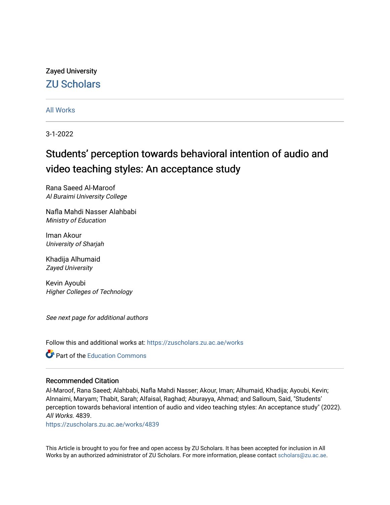# Zayed University [ZU Scholars](https://zuscholars.zu.ac.ae/)

[All Works](https://zuscholars.zu.ac.ae/works)

3-1-2022

# Students' perception towards behavioral intention of audio and video teaching styles: An acceptance study

Rana Saeed Al-Maroof Al Buraimi University College

Nafla Mahdi Nasser Alahbabi Ministry of Education

Iman Akour University of Sharjah

Khadija Alhumaid Zayed University

Kevin Ayoubi Higher Colleges of Technology

See next page for additional authors

Follow this and additional works at: [https://zuscholars.zu.ac.ae/works](https://zuscholars.zu.ac.ae/works?utm_source=zuscholars.zu.ac.ae%2Fworks%2F4839&utm_medium=PDF&utm_campaign=PDFCoverPages)

**C** Part of the [Education Commons](http://network.bepress.com/hgg/discipline/784?utm_source=zuscholars.zu.ac.ae%2Fworks%2F4839&utm_medium=PDF&utm_campaign=PDFCoverPages)

# Recommended Citation

Al-Maroof, Rana Saeed; Alahbabi, Nafla Mahdi Nasser; Akour, Iman; Alhumaid, Khadija; Ayoubi, Kevin; Alnnaimi, Maryam; Thabit, Sarah; Alfaisal, Raghad; Aburayya, Ahmad; and Salloum, Said, "Students' perception towards behavioral intention of audio and video teaching styles: An acceptance study" (2022). All Works. 4839.

[https://zuscholars.zu.ac.ae/works/4839](https://zuscholars.zu.ac.ae/works/4839?utm_source=zuscholars.zu.ac.ae%2Fworks%2F4839&utm_medium=PDF&utm_campaign=PDFCoverPages)

This Article is brought to you for free and open access by ZU Scholars. It has been accepted for inclusion in All Works by an authorized administrator of ZU Scholars. For more information, please contact [scholars@zu.ac.ae](mailto:scholars@zu.ac.ae).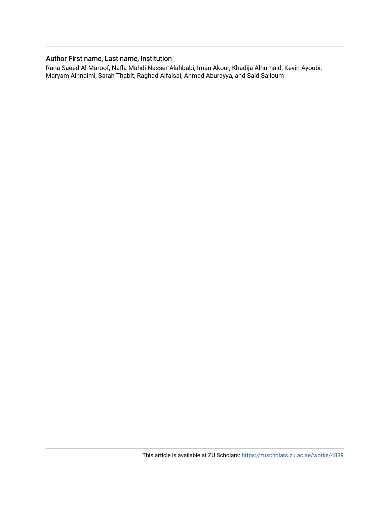# Author First name, Last name, Institution

Rana Saeed Al-Maroof, Nafla Mahdi Nasser Alahbabi, Iman Akour, Khadija Alhumaid, Kevin Ayoubi, Maryam Alnnaimi, Sarah Thabit, Raghad Alfaisal, Ahmad Aburayya, and Said Salloum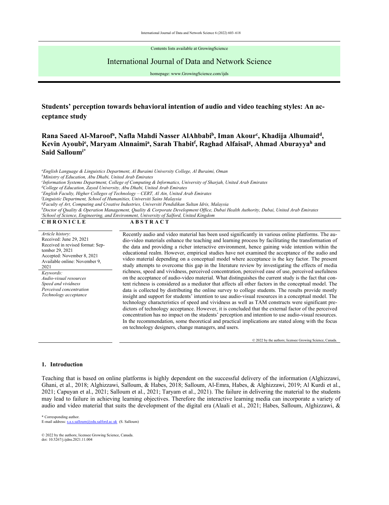Contents lists available at GrowingScience

# International Journal of Data and Network Science

homepage: www.GrowingScience.com/ijds

# **Students' perception towards behavioral intention of audio and video teaching styles: An acceptance study**

# Rana Saeed Al-Maroof<sup>a</sup>, Nafla Mahdi Nasser AlAhbabi<sup>b</sup>, Iman Akour<sup>c</sup>, Khadija Alhumaid<sup>d</sup>, Kevin Ayoubi<sup>e</sup>, Maryam Alnnaimi<sup>a</sup>, Sarah Thabit<sup>f</sup>, Raghad Alfaisal<sup>g</sup>, Ahmad Aburayya<sup>h</sup> and **Said Salloumi\***

*a English Language & Linguistics Department, Al Buraimi University College, Al Buraimi, Oman b Ministry of Education, Abu Dhabi, United Arab Emirates c Information Systems Department, College of Computing & Informatics, University of Sharjah, United Arab Emirates d College of Education, Zayed University, Abu Dhabi, United Arab Emirates e English Faculty, Higher Colleges of Technology – CERT, Al Ain, United Arab Emirates f Linguistic Department, School of Humanities, Universiti Sains Malaysia g Faculty of Art, Computing and Creative Industries, Universiti Pendidikan Sultan Idris, Malaysia*  <sup>h</sup>Doctor of Quality & Operation Management, Quality & Corporate Development Office, Dubai Health Authority, Dubai, United Arab Emirates<br><sup>iSchool of Science, Engineering, and Environment University of Salford, United Kingd</sup> <sup>*iSchool of Science, Engineering, and Environment, University of Salford, United Kingdom*</sup> CHRONICLE ABSTRACT

*Article history*: Received: June 29, 2021 Received in revised format: September 29, 2021 Accepted: November 8, 2021 Available online: November 9, 2021 *Keywords: Audio-visual resources Speed and vividness Perceived concentration Technology acceptance* 

Recently audio and video material has been used significantly in various online platforms. The audio-video materials enhance the teaching and learning process by facilitating the transformation of the data and providing a richer interactive environment, hence gaining wide intention within the educational realm. However, empirical studies have not examined the acceptance of the audio and video material depending on a conceptual model where acceptance is the key factor. The present study attempts to overcome this gap in the literature review by investigating the effects of media richness, speed and vividness, perceived concentration, perceived ease of use, perceived usefulness on the acceptance of audio-video material. What distinguishes the current study is the fact that content richness is considered as a mediator that affects all other factors in the conceptual model. The data is collected by distributing the online survey to college students. The results provide mostly insight and support for students' intention to use audio-visual resources in a conceptual model. The technology characteristics of speed and vividness as well as TAM constructs were significant predictors of technology acceptance. However, it is concluded that the external factor of the perceived concentration has no impact on the students' perception and intention to use audio-visual resources. In the recommendation, some theoretical and practical implications are stated along with the focus on technology designers, change managers, and users.

© 2022 by the authors; licensee Growing Science, Canada.

## **1. Introduction**

Teaching that is based on online platforms is highly dependent on the successful delivery of the information (Alghizzawi, Ghani, et al., 2018; Alghizzawi, Salloum, & Habes, 2018; Salloum, Al-Emra, Habes, & Alghizzawi, 2019; Al Kurdi et al., 2021; Capuyan et al., 2021; Salloum et al., 2021; Taryam et al., 2021). The failure in delivering the material to the students may lead to failure in achieving learning objectives. Therefore the interactive learning media can incorporate a variety of audio and video material that suits the development of the digital era (Alaali et al., 2021; Habes, Salloum, Alghizzawi, &

© 2022 by the authors; licensee Growing Science, Canada. doi: 10.5267/j.ijdns.2021.11.004

<sup>\*</sup> Corresponding author.<br>E-mail address: s.a.s.sallow m@edu.salford.ac.uk (S. Salloum)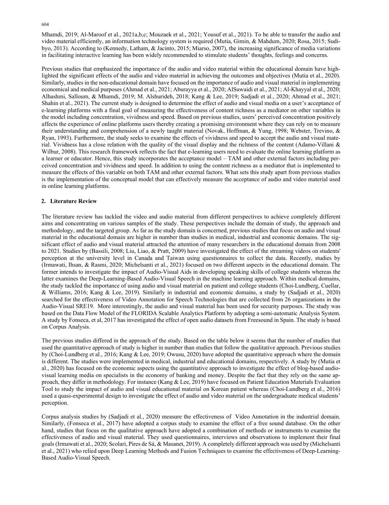Mhamdi, 2019; Al-Maroof et al., 2021a,b,c; Mouzaek et al., 2021; Yousuf et al., 2021). To be able to transfer the audio and video material efficiently, an information technology system is required (Mutia, Gimin, & Mahdum, 2020; Rosa, 2015; Sudibyo, 2013). According to (Kennedy, Latham, & Jacinto, 2015; Miarso, 2007), the increasing significance of media variations in facilitating interactive learning has been widely recommended to stimulate students' thoughts, feelings and concerns.

Previous studies that emphasized the importance of the audio and video material within the educational domain have highlighted the significant effects of the audio and video material in achieving the outcomes and objectives (Mutia et al., 2020). Similarly, studies in the non-educational domain have focused on the importance of audio and visual material in implementing economical and medical purposes (Ahmad et al., 2021; Aburayya et al., 2020; AlSuwaidi et al., 2021; Al-Khayyal et al., 2020; Alhashmi, Salloum, & Mhamdi, 2019; M. Alshurideh, 2018; Kang & Lee, 2019; Sadjadi et al., 2020; Ahmad et al., 2021; Shahin et al., 2021). The current study is designed to determine the effect of audio and visual media on a user's acceptance of e-learning platforms with a final goal of measuring the effectiveness of content richness as a mediator on other variables in the model including concentration, vividness and speed. Based on previous studies, users' perceived concentration positively affects the experience of online platforms users thereby creating a promising environment where they can rely on to measure their understanding and comprehension of a newly taught material (Novak, Hoffman, & Yung, 1998; Webster, Trevino, & Ryan, 1993). Furthermore, the study seeks to examine the effects of vividness and speed to accept the audio and visual material. Vividness has a close relation with the quality of the visual display and the richness of the content (Adamo-Villani & Wilbur, 2008). This research framework reflects the fact that e-learning users need to evaluate the online learning platform as a learner or educator. Hence, this study incorporates the acceptance model – TAM and other external factors including perceived concentration and vividness and speed. In addition to using the content richness as a mediator that is implemented to measure the effects of this variable on both TAM and other external factors. What sets this study apart from previous studies is the implementation of the conceptual model that can effectively measure the acceptance of audio and video material used in online learning platforms.

# **2. Literature Review**

The literature review has tackled the video and audio material from different perspectives to achieve completely different aims and concentrating on various samples of the study. These perspectives include the domain of study, the approach and methodology, and the targeted group. As far as the study domain is concerned, previous studies that focus on audio and visual material in the educational domain are higher in number than studies in medical, industrial and economic domains. The significant effect of audio and visual material attracted the attention of many researchers in the educational domain from 2008 to 2021. Studies by (Bassili, 2008; Liu, Liao, & Pratt, 2009) have investigated the effect of the streaming videos on students' perception at the university level in Canada and Taiwan using questionnaires to collect the data. Recently, studies by (Irmawati, Ihsan, & Rasmi, 2020; Michelsanti et al., 2021) focused on two different aspects in the educational domain. The former intends to investigate the impact of Audio-Visual Aids in developing speaking skills of college students whereas the latter examines the Deep-Learning-Based Audio-Visual Speech in the machine learning approach. Within medical domains, the study tackled the importance of using audio and visual material on patient and college students (Choi-Lundberg, Cuellar, & Williams, 2016; Kang & Lee, 2019). Similarly in industrial and economic domains, a study by (Sadjadi et al., 2020) searched for the effectiveness of Video Annotation for Speech Technologies that are collected from 26 organizations in the Audio-Visual SRE19. More interestingly, the audio and visual material has been used for security purposes. The study was based on the Data Flow Model of the FLORIDA Scalable Analytics Platform by adopting a semi-automatic Analysis System. A study by Fonseca, et al, 2017 has investigated the effect of open audio datasets from Freesound in Spain. The study is based on Corpus Analysis.

The previous studies differed in the approach of the study. Based on the table below it seems that the number of studies that used the quantitative approach of study is higher in number than studies that follow the qualitative approach. Previous studies by (Choi-Lundberg et al., 2016; Kang & Lee, 2019; Owusu, 2020) have adopted the quantitative approach where the domain is different. The studies were implemented in medical, industrial and educational domains, respectively. A study by (Mutia et al., 2020) has focused on the economic aspects using the quantitative approach to investigate the effect of blog-based audiovisual learning media on specialists in the economy of banking and money. Despite the fact that they rely on the same approach, they differ in methodology. For instance (Kang & Lee, 2019) have focused on Patient Education Materials Evaluation Tool to study the impact of audio and visual educational material on Korean patient whereas (Choi‐Lundberg et al., 2016) used a quasi-experimental design to investigate the effect of audio and video material on the undergraduate medical students' perception.

Corpus analysis studies by (Sadjadi et al., 2020) measure the effectiveness of Video Annotation in the industrial domain. Similarly, (Fonseca et al., 2017) have adopted a corpus study to examine the effect of a free sound database. On the other hand, studies that focus on the qualitative approach have adopted a combination of methods or instruments to examine the effectiveness of audio and visual material. They used questionnaires, interviews and observations to implement their final goals (Irmawati et al., 2020; Scolari, Pires de Sá, & Masanet, 2019). A completely different approach was used by (Michelsanti et al., 2021) who relied upon Deep Learning Methods and Fusion Techniques to examine the effectiveness of Deep-Learning-Based Audio-Visual Speech.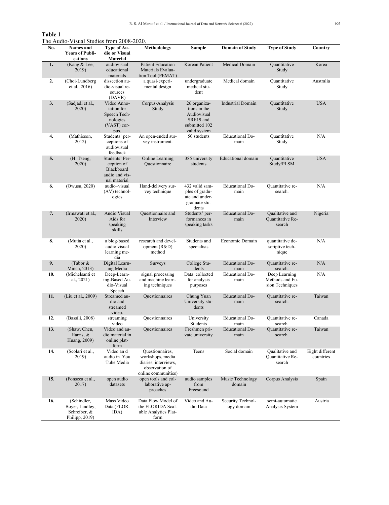#### **Table 1**

| No. | <b>Names</b> and<br><b>Years of Publi-</b><br>cations            | Type of Au-<br>dio or Visual<br><b>Material</b>                              | Methodology                                                                                          | Sample                                                                                    | <b>Domain of Study</b>          | <b>Type of Study</b>                                | Country                      |
|-----|------------------------------------------------------------------|------------------------------------------------------------------------------|------------------------------------------------------------------------------------------------------|-------------------------------------------------------------------------------------------|---------------------------------|-----------------------------------------------------|------------------------------|
| 1.  | (Kang & Lee,<br>2019)                                            | audiovisual<br>educational<br>materials                                      | <b>Patient Education</b><br>Materials Evalua-<br>tion Tool (PEMAT)                                   | Korean Patient                                                                            | Medical Domain                  | Quantitative<br>Study                               | Korea                        |
| 2.  | (Choi-Lundberg<br>et al., 2016)                                  | dissection au-<br>dio-visual re-<br>sources<br>(DAVR)                        | a quasi-experi-<br>mental design                                                                     | undergraduate<br>medical stu-<br>dent                                                     | Medical domain                  | Quantitative<br>Study                               | Australia                    |
| 3.  | (Sadjadi et al.,<br>2020)                                        | Video Anno-<br>tation for<br>Speech Tech-<br>nologies<br>(VAST) cor-<br>pus. | Corpus-Analysis<br>Study                                                                             | 26 organiza-<br>tions in the<br>Audiovisual<br>SRE19 and<br>submitted 102<br>valid system | <b>Industrial Domain</b>        | Quantitative<br>Study                               | <b>USA</b>                   |
| 4.  | (Mathieson,<br>2012)                                             | Students' per-<br>ceptions of<br>audiovisual<br>feedback                     | An open-ended sur-<br>vey instrument.                                                                | 50 students                                                                               | Educational Do-<br>main         | Quantitative<br>Study                               | N/A                          |
| 5.  | (H. Tseng,<br>2020)                                              | Students' Per-<br>ception of<br>Blackboard<br>audio and vis-<br>ual material | Online Learning<br>Ouestionnaire                                                                     | 385 university<br>students                                                                | Educational domain              | Quantitative<br>Study/PLSM                          | <b>USA</b>                   |
| 6.  | (Owusu, 2020)                                                    | audio-visual<br>$(AV)$ technol-<br>ogies                                     | Hand-delivery sur-<br>vey technique                                                                  | 432 valid sam-<br>ples of gradu-<br>ate and under-<br>graduate stu-<br>dents              | Educational Do-<br>main         | Quantitative re-<br>search.                         | N/A                          |
| 7.  | (Irmawati et al.,<br>2020)                                       | Audio Visual<br>Aids for<br>speaking<br>skills                               | Questionnaire and<br>Interview                                                                       | Students' per-<br>formances in<br>speaking tasks                                          | <b>Educational Do-</b><br>main  | Qualitative and<br>Quantitative Re-<br>search       | Nigeria                      |
| 8.  | (Mutia et al.,<br>2020)                                          | a blog-based<br>audio visual<br>learning me-<br>dia                          | research and devel-<br>opment (R&D)<br>method                                                        | Students and<br>specialists                                                               | Economic Domain                 | quantitative de-<br>scriptive tech-<br>nique        | N/A                          |
| 9.  | (Tabor &<br>Minch, 2013)                                         | Digital Learn-<br>ing Media                                                  | Surveys                                                                                              | College Stu-<br>dents                                                                     | Educational Do-<br>main         | Quantitative re-<br>search.                         | N/A                          |
| 10. | (Michelsanti et<br>al., 2021)                                    | Deep-Learn-<br>ing-Based Au-<br>dio-Visual<br>Speech                         | signal processing<br>and machine learn-<br>ing techniques                                            | Data collected<br>for analysis<br>purposes                                                | <b>Educational Do-</b><br>main  | Deep Learning<br>Methods and Fu-<br>sion Techniques | N/A                          |
| 11. | (Liu et al., 2009)                                               | Streamed au-<br>dio and<br>streamed<br>video.                                | Questionnaires                                                                                       | Chung Yuan<br>University stu-<br>dents                                                    | <b>Educational Do-</b><br>main  | Quantitative re-<br>search.                         | Taiwan                       |
| 12. | (Bassili, 2008)                                                  | streaming<br>video                                                           | Questionnaires                                                                                       | University<br>Students                                                                    | <b>Educational Do-</b><br>main  | Quantitative re-<br>search.                         | Canada                       |
| 13. | (Shaw, Chen,<br>Harris, &<br>Huang, 2009)                        | Video and au-<br>dio material in<br>online plat-<br>form                     | Questionnaires                                                                                       | Freshmen pri-<br>vate university                                                          | <b>Educational Do-</b><br>main  | Quantitative re-<br>search.                         | Taiwan                       |
| 14. | (Scolari et al.,<br>2019)                                        | Video an d<br>audio in You<br>Tube Media                                     | Questionnaires,<br>workshops, media<br>diaries, interviews,<br>observation of<br>online communities) | Teens                                                                                     | Social domain                   | Qualitative and<br>Quantitative Re-<br>search       | Eight different<br>countries |
| 15. | (Fonseca et al.,<br>2017)                                        | open audio<br>datasets                                                       | open tools and col-<br>laborative ap-<br>proaches                                                    | audio samples<br>from<br>Freesound                                                        | Music Technology<br>domain      | Corpus Analysis                                     | Spain                        |
| 16. | (Schindler,<br>Boyer, Lindley,<br>Schreiber, &<br>Philipp, 2019) | Mass Video<br>Data (FLOR-<br>IDA)                                            | Data Flow Model of<br>the FLORIDA Scal-<br>able Analytics Plat-<br>form                              | Video and Au-<br>dio Data                                                                 | Security Technol-<br>ogy domain | semi-automatic<br>Analysis System                   | Austria                      |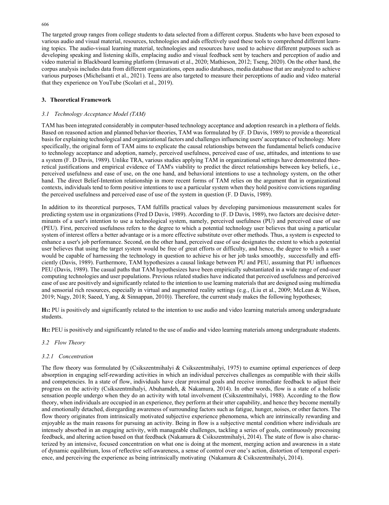The targeted group ranges from college students to data selected from a different corpus. Students who have been exposed to various audio and visual material, resources, technologies and aids effectively used these tools to comprehend different learning topics. The audio-visual learning material, technologies and resources have used to achieve different purposes such as developing speaking and listening skills, emplacing audio and visual feedback sent by teachers and perception of audio and video material in Blackboard learning platform (Irmawati et al., 2020; Mathieson, 2012; Tseng, 2020). On the other hand, the corpus analysis includes data from different organizations, open audio databases, media database that are analyzed to achieve various purposes (Michelsanti et al., 2021). Teens are also targeted to measure their perceptions of audio and video material that they experience on YouTube (Scolari et al., 2019).

# **3. Theoretical Framework**

## *3.1 Technology Acceptance Model (TAM)*

TAM has been integrated considerably in computer-based technology acceptance and adoption research in a plethora of fields. Based on reasoned action and planned behavior theories, TAM was formulated by (F. D Davis, 1989) to provide a theoretical basis for explaining technological and organizational factors and challenges influencing users' acceptance of technology*.* More specifically, the original form of TAM aims to explicate the causal relationships between the fundamental beliefs conducive to technology acceptance and adoption, namely, perceived usefulness, perceived ease of use, attitudes, and intentions to use a system (F. D Davis, 1989). Unlike TRA, various studies applying TAM in organizational settings have demonstrated theoretical justifications and empirical evidence of TAM's viability to predict the direct relationships between key beliefs, i.e., perceived usefulness and ease of use, on the one hand, and behavioral intentions to use a technology system, on the other hand. The direct Belief-Intention relationship in more recent forms of TAM relies on the argument that in organizational contexts, individuals tend to form positive intentions to use a particular system when they hold positive convictions regarding the perceived usefulness and perceived ease of use of the system in question (F. D Davis, 1989).

In addition to its theoretical purposes, TAM fulfills practical values by developing parsimonious measurement scales for predicting system use in organizations (Fred D Davis, 1989). According to (F. D Davis, 1989), two factors are decisive determinants of a user's intention to use a technological system, namely, perceived usefulness (PU) and perceived ease of use (PEU). First, perceived usefulness refers to the degree to which a potential technology user believes that using a particular system of interest offers a better advantage or is a more effective substitute over other methods. Thus, a system is expected to enhance a user's job performance. Second, on the other hand, perceived ease of use designates the extent to which a potential user believes that using the target system would be free of great efforts or difficulty, and hence, the degree to which a user would be capable of harnessing the technology in question to achieve his or her job tasks smoothly, successfully and efficiently (Davis, 1989). Furthermore, TAM hypothesizes a causal linkage between PU and PEU, assuming that PU influences PEU (Davis, 1989). The casual paths that TAM hypothesizes have been empirically substantiated in a wide range of end-user computing technologies and user populations. Previous related studies have indicated that perceived usefulness and perceived ease of use are positively and significantly related to the intention to use learning materials that are designed using multimedia and sensorial rich resources, especially in virtual and augmented reality settings (e.g., (Liu et al., 2009; McLean & Wilson, 2019; Nagy, 2018; Saeed, Yang, & Sinnappan, 2010)). Therefore, the current study makes the following hypotheses;

**H1:** PU is positively and significantly related to the intention to use audio and video learning materials among undergraduate students.

**H2:** PEU is positively and significantly related to the use of audio and video learning materials among undergraduate students.

## *3.2 Flow Theory*

#### *3.2.1 Concentration*

The flow theory was formulated by (Csikszentmihalyi & Csikszentmihalyi, 1975) to examine optimal experiences of deep absorption in engaging self-rewarding activities in which an individual perceives challenges as compatible with their skills and competencies. In a state of flow, individuals have clear proximal goals and receive immediate feedback to adjust their progress on the activity (Csikszentmihalyi, Abuhamdeh, & Nakamura, 2014). In other words, flow is a state of a holistic sensation people undergo when they do an activity with total involvement (Csikszentmihalyi, 1988). According to the flow theory, when individuals are occupied in an experience, they perform at their utter capability, and hence they become mentally and emotionally detached, disregarding awareness of surrounding factors such as fatigue, hunger, noises, or other factors. The flow theory originates from intrinsically motivated subjective experience phenomena, which are intrinsically rewarding and enjoyable as the main reasons for pursuing an activity. Being in flow is a subjective mental condition where individuals are intensely absorbed in an engaging activity, with manageable challenges, tackling a series of goals, continuously processing feedback, and altering action based on that feedback (Nakamura & Csikszentmihalyi, 2014). The state of flow is also characterized by an intensive, focused concentration on what one is doing at the moment, merging action and awareness in a state of dynamic equilibrium, loss of reflective self-awareness, a sense of control over one's action, distortion of temporal experience, and perceiving the experience as being intrinsically motivating (Nakamura & Csikszentmihalyi, 2014).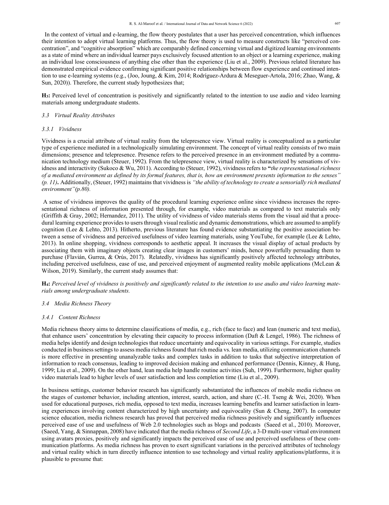In the context of virtual and e-learning, the flow theory postulates that a user has perceived concentration, which influences their intention to adopt virtual learning platforms. Thus, the flow theory is used to measure constructs like "perceived concentration", and "cognitive absorption" which are comparably defined concerning virtual and digitized learning environments as a state of mind where an individual learner pays exclusively focused attention to an object or a learning experience, making an individual lose consciousness of anything else other than the experience (Liu et al., 2009). Previous related literature has demonstrated empirical evidence confirming significant positive relationships between flow experience and continued intention to use e-learning systems (e.g., (Joo, Joung, & Kim, 2014; Rodríguez-Ardura & Meseguer-Artola, 2016; Zhao, Wang, & Sun, 2020)). Therefore, the current study hypothesizes that;

**H3:** Perceived level of concentration is positively and significantly related to the intention to use audio and video learning materials among undergraduate students.

# *3.3 Virtual Reality Attributes*

#### *3.3.1 Vividness*

Vividness is a crucial attribute of virtual reality from the telepresence view. Virtual reality is conceptualized as a particular type of experience mediated in a technologically simulating environment. The concept of virtual reality consists of two main dimensions; presence and telepresence. Presence refers to the perceived presence in an environment mediated by a communication technology medium (Steuer, 1992). From the telepresence view, virtual reality is characterized by sensations of vividness and interactivity (Sukoco & Wu, 2011). According to (Steuer, 1992), vividness refers to **"***the representational richness of a mediated environment as defined by its formal features, that is, how an environment presents information to the senses" (p. 11)***.** Additionally, (Steuer, 1992) maintains that vividness is *"the ability of technology to create a sensorially rich mediated environment"(p.80).*

 A sense of vividness improves the quality of the procedural learning experience online since vividness increases the representational richness of information presented through, for example, video materials as compared to text materials only (Griffith & Gray, 2002; Hernandez, 2011). The utility of vividness of video materials stems from the visual aid that a procedural learning experience provides to users through visual realistic and dynamic demonstrations, which are assumed to amplify cognition (Lee & Lehto, 2013). Hitherto, previous literature has found evidence substantiating the positive association between a sense of vividness and perceived usefulness of video learning materials, using YouTube, for example (Lee & Lehto, 2013). In online shopping, vividness corresponds to aesthetic appeal. It increases the visual display of actual products by associating them with imaginary objects creating clear images in customers' minds, hence powerfully persuading them to purchase (Flavián, Gurrea, & Orús, 2017). Relatedly, vividness has significantly positively affected technology attributes, including perceived usefulness, ease of use, and perceived enjoyment of augmented reality mobile applications (McLean & Wilson, 2019). Similarly, the current study assumes that:

**H4:** *Perceived level of vividness is positively and significantly related to the intention to use audio and video learning materials among undergraduate students.* 

# *3.4 Media Richness Theory*

### *3.4.1 Content Richness*

Media richness theory aims to determine classifications of media, e.g., rich (face to face) and lean (numeric and text media), that enhance users' concentration by elevating their capacity to process information (Daft & Lengel, 1986). The richness of media helps identify and design technologies that reduce uncertainty and equivocality in various settings. For example, studies conducted in business settings to assess media richness found that rich media vs. lean media, utilizing communication channels is more effective in presenting unanalyzable tasks and complex tasks in addition to tasks that subjective interpretation of information to reach consensus, leading to improved decision making and enhanced performance (Dennis, Kinney, & Hung, 1999; Liu et al., 2009). On the other hand, lean media help handle routine activities (Suh, 1999). Furthermore, higher quality video materials lead to higher levels of user satisfaction and less completion time (Liu et al., 2009).

In business settings, customer behavior research has significantly substantiated the influences of mobile media richness on the stages of customer behavior, including attention, interest, search, action, and share (C.-H. Tseng & Wei, 2020). When used for educational purposes, rich media, opposed to text media, increases learning benefits and learner satisfaction in learning experiences involving content characterized by high uncertainty and equivocality (Sun & Cheng, 2007). In computer science education, media richness research has proved that perceived media richness positively and significantly influences perceived ease of use and usefulness of Web 2.0 technologies such as blogs and podcasts (Saeed et al., 2010). Moreover, (Saeed, Yang, & Sinnappan, 2008) have indicated that the media richness of *Second Life*, a 3-D multi-user virtual environment using avatars proxies, positively and significantly impacts the perceived ease of use and perceived usefulness of these communication platforms. As media richness has proven to exert significant variations in the perceived attributes of technology and virtual reality which in turn directly influence intention to use technology and virtual reality applications/platforms, it is plausible to presume that: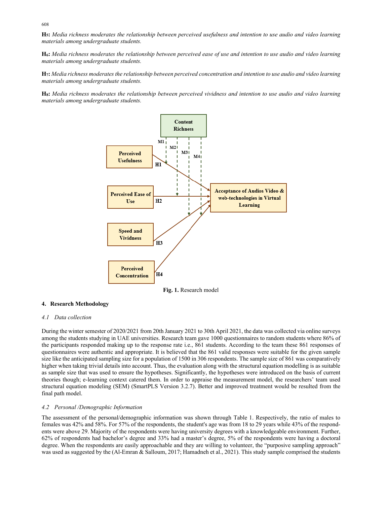**H5:** *Media richness moderates the relationship between perceived usefulness and intention to use audio and video learning materials among undergraduate students.* 

**H6:** *Media richness moderates the relationship between perceived ease of use and intention to use audio and video learning materials among undergraduate students.* 

**H7:** *Media richness moderates the relationship between perceived concentration and intention to use audio and video learning materials among undergraduate students.*

**H8:** *Media richness moderates the relationship between perceived vividness and intention to use audio and video learning materials among undergraduate students.* 



**Fig. 1.** Research model

# **4. Research Methodology**

# *4.1 Data collection*

During the winter semester of 2020/2021 from 20th January 2021 to 30th April 2021, the data was collected via online surveys among the students studying in UAE universities. Research team gave 1000 questionnaires to random students where 86% of the participants responded making up to the response rate i.e., 861 students. According to the team these 861 responses of questionnaires were authentic and appropriate. It is believed that the 861 valid responses were suitable for the given sample size like the anticipated sampling size for a population of 1500 in 306 respondents. The sample size of 861 was comparatively higher when taking trivial details into account. Thus, the evaluation along with the structural equation modelling is as suitable as sample size that was used to ensure the hypotheses. Significantly, the hypotheses were introduced on the basis of current theories though; e-learning context catered them. In order to appraise the measurement model, the researchers' team used structural equation modeling (SEM) (SmartPLS Version 3.2.7). Better and improved treatment would be resulted from the final path model.

## *4.2 Personal /Demographic Information*

The assessment of the personal/demographic information was shown through Table 1. Respectively, the ratio of males to females was 42% and 58%. For 57% of the respondents, the student's age was from 18 to 29 years while 43% of the respondents were above 29. Majority of the respondents were having university degrees with a knowledgeable environment. Further, 62% of respondents had bachelor's degree and 33% had a master's degree, 5% of the respondents were having a doctoral degree. When the respondents are easily approachable and they are willing to volunteer, the "purposive sampling approach" was used as suggested by the (Al-Emran & Salloum, 2017; Hamadneh et al., 2021). This study sample comprised the students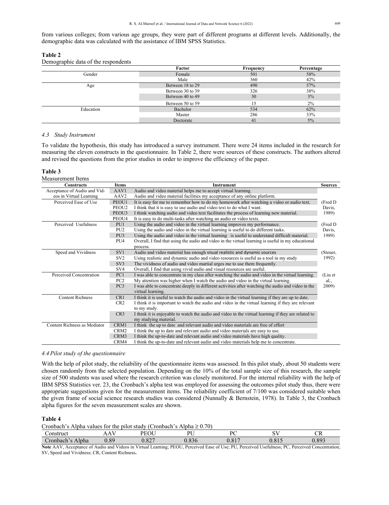from various colleges; from various age groups, they were part of different programs at different levels. Additionally, the demographic data was calculated with the assistance of IBM SPSS Statistics.

| ı<br>v<br>I<br>×<br>× |  |
|-----------------------|--|
|-----------------------|--|

Demographic data of the respondents

|           | Factor           | Frequency | Percentage |
|-----------|------------------|-----------|------------|
| Gender    | Female           | 501       | 58%        |
|           | Male             | 360       | 42%        |
| Age       | Between 18 to 29 | 490       | 57%        |
|           | Between 30 to 39 | 326       | 38%        |
|           | Between 40 to 49 | 30        | 3%         |
|           | Between 50 to 59 | 15        | 2%         |
| Education | Bachelor         | 534       | 62%        |
|           | Master           | 286       | 33%        |
|           | Doctorate        | 41        | $5\%$      |

### *4.3 Study Instrument*

To validate the hypothesis, this study has introduced a survey instrument. There were 24 items included in the research for measuring the eleven constructs in the questionnaire. In Table 2, there were sources of these constructs. The authors altered and revised the questions from the prior studies in order to improve the efficiency of the paper.

### **Table 3**

| Measurement Items            |                  |                                                                                                     |                |
|------------------------------|------------------|-----------------------------------------------------------------------------------------------------|----------------|
| <b>Constructs</b>            | <b>Items</b>     | <b>Instrument</b>                                                                                   | <b>Sources</b> |
| Acceptance of Audio and Vid- | AAV1             | Audio and video material helps me to accept virtual learning.                                       |                |
| eos in Virtual Learning      | AAV <sub>2</sub> | Audio and video material facilities my acceptance of any online platform.                           |                |
| Perceived Ease of Use        | PEOU1            | It is easy for me to remember how to do my homework after watching a video or audio text.           | (Fred D        |
|                              | PEOU2            | I think that it is easy to use audio and video text to do what I want.                              | Davis,         |
|                              | PEOU3            | I think watching audio and video text facilitates the process of learning new material.             | 1989)          |
|                              | PEOU4            | It is easy to do multi-tasks after watching an audio or video texts.                                |                |
| Perceived Usefulness         | PU1              | Using the audio and video in the virtual learning improves my performance.                          | (Fred D        |
|                              | PU <sub>2</sub>  | Using the audio and video in the virtual learning is useful to do different tasks.                  | Davis,         |
|                              | PU <sub>3</sub>  | Using the audio and video in the virtual learning is useful to understand difficult material.       | 1989)          |
|                              | PU <sub>4</sub>  | Overall, I find that using the audio and video in the virtual learning is useful in my educational  |                |
|                              |                  | process.                                                                                            |                |
| Speed and Vividness          | SV <sub>1</sub>  | Audio and video material has enough visual realistic and dynamic sources                            | (Steuer,       |
|                              | SV <sub>2</sub>  | Using realistic and dynamic audio and video resources is useful as a tool in my study               | 1992)          |
|                              | SV <sub>3</sub>  | The vividness of audio and video martial urges me to use them frequently.                           |                |
|                              | SV <sub>4</sub>  | Overall, I find that using vivid audio and visual resources are useful.                             |                |
| Perceived Concentration      | PC1              | I was able to concentrate in my class after watching the audio and video in the virtual learning.   | (Liu et        |
|                              | PC <sub>2</sub>  | My attention was higher when I watch the audio and video in the virtual learning.                   | al.,           |
|                              | PC <sub>3</sub>  | I was able to concentrate deeply in different activities after watching the audio and video in the  | 2009)          |
|                              |                  | virtual learning.                                                                                   |                |
| <b>Content Richness</b>      | CR1              | I think it is useful to watch the audio and video in the virtual learning if they are up to date.   |                |
|                              | CR2              | I think it is important to watch the audio and video in the virtual learning if they are relevant   |                |
|                              |                  | to my study.                                                                                        |                |
|                              | CR3              | I think it is enjoyable to watch the audio and video in the virtual learning if they are related to |                |
|                              |                  | my studying material.                                                                               |                |
| Content Richness as Mediator | CRM1             | I think the up to date and relevant audio and video materials are free of effort                    |                |
|                              | CRM2             | I think the up to date and relevant audio and video materials are easy to use.                      |                |
|                              | CRM3             | I think the up-to-date and relevant audio and video materials have high quality.                    |                |
|                              | CRM4             | I think the up-to-date and relevant audio and video materials help me to concentrate.               |                |

#### *4.4 Pilot study of the questionnaire*

With the help of pilot study, the reliability of the questionnaire items was assessed. In this pilot study, about 50 students were chosen randomly from the selected population. Depending on the 10% of the total sample size of this research, the sample size of 500 students was used where the research criterion was closely monitored. For the internal reliability with the help of IBM SPSS Statistics ver. 23, the Cronbach's alpha test was employed for assessing the outcomes pilot study thus, there were appropriate suggestions given for the measurement items. The reliability coefficient of 7/100 was considered suitable when the given frame of social science research studies was considered (Nunnally & Bernstein, 1978). In Table 3, the Cronbach alpha figures for the seven measurement scales are shown.

#### **Table 4**

Cronbach's Alpha values for the pilot study (Cronbach's Alpha  $\geq 0.70$ )

| .`onstruct       | $ -$<br>┒ | :OU<br><u></u> | DT T                 | $\Omega$    | $\sim$ $\tau$ | $\sim$ r $\sim$<br>ັ້ |
|------------------|-----------|----------------|----------------------|-------------|---------------|-----------------------|
| Alpha<br>ronbach | $_{0.89}$ | 027<br>J.02'   | 0.02<br><u>0.836</u> | 017<br>0.01 | 011           | 0.002<br>$0.89-$      |

**Note** AAV, Acceptance of Audio and Videos in Virtual Learning; PEOU, Perceived Ease of Use; PU, Perceived Usefulness; PC, Perceived Concentration; SV, Speed and Vividness; CR, Content Richness**.**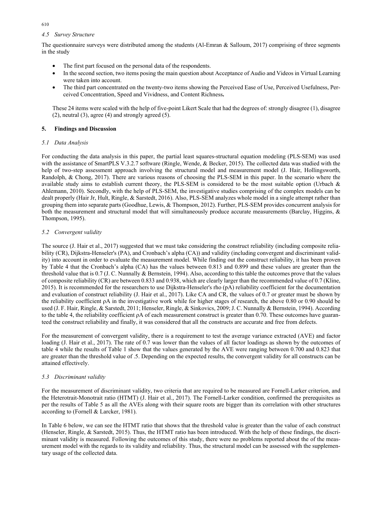# *4.5 Survey Structure*

The questionnaire surveys were distributed among the students (Al-Emran  $\&$  Salloum, 2017) comprising of three segments in the study

- The first part focused on the personal data of the respondents.
- In the second section, two items posing the main question about Acceptance of Audio and Videos in Virtual Learning were taken into account.
- The third part concentrated on the twenty-two items showing the Perceived Ease of Use, Perceived Usefulness, Perceived Concentration, Speed and Vividness, and Content Richness**.**

These 24 items were scaled with the help of five-point Likert Scale that had the degrees of: strongly disagree (1), disagree (2), neutral (3), agree (4) and strongly agreed (5).

# **5. Findings and Discussion**

# *5.1 Data Analysis*

For conducting the data analysis in this paper, the partial least squares-structural equation modeling (PLS-SEM) was used with the assistance of SmartPLS V.3.2.7 software (Ringle, Wende, & Becker, 2015). The collected data was studied with the help of two-step assessment approach involving the structural model and measurement model (J. Hair, Hollingsworth, Randolph, & Chong, 2017). There are various reasons of choosing the PLS-SEM in this paper. In the scenario where the available study aims to establish current theory, the PLS-SEM is considered to be the most suitable option (Urbach & Ahlemann, 2010). Secondly, with the help of PLS-SEM, the investigative studies comprising of the complex models can be dealt properly (Hair Jr, Hult, Ringle, & Sarstedt, 2016). Also, PLS-SEM analyzes whole model in a single attempt rather than grouping them into separate parts (Goodhue, Lewis, & Thompson, 2012). Further, PLS-SEM provides concurrent analysis for both the measurement and structural model that will simultaneously produce accurate measurements (Barclay, Higgins, & Thompson, 1995).

# *5.2 Convergent validity*

The source (J. Hair et al., 2017) suggested that we must take considering the construct reliability (including composite reliability (CR), Dijkstra-Henseler's (PA), and Cronbach's alpha (CA)) and validity (including convergent and discriminant validity) into account in order to evaluate the measurement model. While finding out the construct reliability, it has been proven by Table 4 that the Cronbach's alpha (CA) has the values between 0.813 and 0.899 and these values are greater than the threshold value that is 0.7 (J. C. Nunnally & Bernstein, 1994). Also, according to this table the outcomes prove that the values of composite reliability (CR) are between 0.833 and 0.938, which are clearly larger than the recommended value of 0.7 (Kline, 2015). It is recommended for the researchers to use Dijkstra-Henseler's rho (pA) reliability coefficient for the documentation and evaluation of construct reliability (J. Hair et al., 2017). Like CA and CR, the values of 0.7 or greater must be shown by the reliability coefficient ρA in the investigative work while for higher stages of research, the above 0.80 or 0.90 should be used (J. F. Hair, Ringle, & Sarstedt, 2011; Henseler, Ringle, & Sinkovics, 2009; J. C. Nunnally & Bernstein, 1994). According to the table 4, the reliability coefficient  $ρA$  of each measurement construct is greater than 0.70. These outcomes have guaranteed the construct reliability and finally, it was considered that all the constructs are accurate and free from defects.

For the measurement of convergent validity, there is a requirement to test the average variance extracted (AVE) and factor loading (J. Hair et al., 2017). The rate of 0.7 was lower than the values of all factor loadings as shown by the outcomes of table 4 while the results of Table 1 show that the values generated by the AVE were ranging between 0.700 and 0.823 that are greater than the threshold value of .5. Depending on the expected results, the convergent validity for all constructs can be attained effectively.

# *5.3 Discriminant validity*

For the measurement of discriminant validity, two criteria that are required to be measured are Fornell-Larker criterion, and the Heterotrait-Monotrait ratio (HTMT) (J. Hair et al., 2017). The Fornell-Larker condition, confirmed the prerequisites as per the results of Table 5 as all the AVEs along with their square roots are bigger than its correlation with other structures according to (Fornell & Larcker, 1981).

In Table 6 below, we can see the HTMT ratio that shows that the threshold value is greater than the value of each construct (Henseler, Ringle, & Sarstedt, 2015). Thus, the HTMT ratio has been introduced. With the help of these findings, the discriminant validity is measured. Following the outcomes of this study, there were no problems reported about the of the measurement model with the regards to its validity and reliability. Thus, the structural model can be assessed with the supplementary usage of the collected data.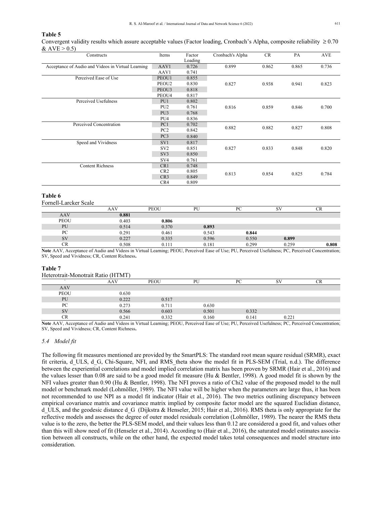# **Table 5**

Convergent validity results which assure acceptable values (Factor loading, Cronbach's Alpha, composite reliability  $\geq 0.70$  $&$  AVE  $> 0.5$ )

| Constructs                                         | Items             | Factor  | Cronbach's Alpha | CR    | PA    | <b>AVE</b> |  |
|----------------------------------------------------|-------------------|---------|------------------|-------|-------|------------|--|
|                                                    |                   | Loading |                  |       |       |            |  |
| Acceptance of Audio and Videos in Virtual Learning | AAV1              | 0.726   | 0.899            | 0.862 | 0.865 | 0.736      |  |
|                                                    | AAV1              | 0.741   |                  |       |       |            |  |
| Perceived Ease of Use                              | PEOU1             | 0.855   |                  |       |       |            |  |
|                                                    | PEOU <sub>2</sub> | 0.830   | 0.827            | 0.938 | 0.941 | 0.823      |  |
|                                                    | PEOU3             | 0.818   |                  |       |       |            |  |
|                                                    | PEOU4             | 0.817   |                  |       |       |            |  |
| Perceived Usefulness                               | PU1               | 0.802   |                  |       |       |            |  |
|                                                    | PU <sub>2</sub>   | 0.761   | 0.816            | 0.859 | 0.846 | 0.700      |  |
|                                                    | PU <sub>3</sub>   | 0.768   |                  |       |       |            |  |
|                                                    | PU4               | 0.836   |                  |       |       |            |  |
| Perceived Concentration                            | PC1               | 0.702   | 0.882            | 0.882 |       |            |  |
|                                                    | PC <sub>2</sub>   | 0.842   |                  |       | 0.827 | 0.808      |  |
|                                                    | PC <sub>3</sub>   | 0.840   |                  |       |       |            |  |
| Speed and Vividness                                | SV1               | 0.817   |                  |       |       |            |  |
|                                                    | SV <sub>2</sub>   | 0.851   | 0.827            | 0.833 | 0.848 | 0.820      |  |
|                                                    | SV <sub>3</sub>   | 0.850   |                  |       |       |            |  |
|                                                    | SV <sub>4</sub>   | 0.761   |                  |       |       |            |  |
| <b>Content Richness</b>                            | CR1               | 0.748   |                  |       |       |            |  |
|                                                    | CR2               | 0.805   | 0.813            |       | 0.825 | 0.784      |  |
|                                                    | CR3               | 0.849   |                  | 0.854 |       |            |  |
|                                                    | CR4               | 0.809   |                  |       |       |            |  |

### **Table 6**

Fornell-Larcker Scale

|             | AAV   | <b>PEOU</b> | PU    | $P\Gamma$ | SV    |       |
|-------------|-------|-------------|-------|-----------|-------|-------|
| AAV         | 0.881 |             |       |           |       |       |
| <b>PEOU</b> | 0.403 | 0.806       |       |           |       |       |
| PU          | 0.514 | 0.370       | 0.893 |           |       |       |
| PC          | 0.291 | 0.461       | 0.543 | 0.844     |       |       |
| SV          | 0.227 | 0.335       | 0.596 | 0.550     | 0.899 |       |
| CR          | 0.508 | 0.111       | 0.181 | 0.299     | 0.259 | 0.808 |

**Note** AAV, Acceptance of Audio and Videos in Virtual Learning; PEOU, Perceived Ease of Use; PU, Perceived Usefulness; PC, Perceived Concentration; SV, Speed and Vividness; CR, Content Richness**.** 

### **Table 7**

| Heterotrait-Monotrait Ratio (HTMT) |       |             |       |       |       |  |  |  |  |
|------------------------------------|-------|-------------|-------|-------|-------|--|--|--|--|
|                                    | AAV   | <b>PEOU</b> | PU    | PC    | SV    |  |  |  |  |
| <b>AAV</b>                         |       |             |       |       |       |  |  |  |  |
| <b>PEOU</b>                        | 0.630 |             |       |       |       |  |  |  |  |
| PU                                 | 0.222 | 0.517       |       |       |       |  |  |  |  |
| PC                                 | 0.273 | 0.711       | 0.630 |       |       |  |  |  |  |
| <b>SV</b>                          | 0.566 | 0.603       | 0.501 | 0.332 |       |  |  |  |  |
| CR                                 | 0.241 | 0.332       | 0.160 | 0.141 | 0.221 |  |  |  |  |

**Note** AAV, Acceptance of Audio and Videos in Virtual Learning; PEOU, Perceived Ease of Use; PU, Perceived Usefulness; PC, Perceived Concentration; SV, Speed and Vividness; CR, Content Richness**.**

#### *5.4 Model fit*

The following fit measures mentioned are provided by the SmartPLS: The standard root mean square residual (SRMR), exact fit criteria, d\_ULS, d\_G, Chi-Square, NFI, and RMS\_theta show the model fit in PLS-SEM (Trial, n.d.). The difference between the experiential correlations and model implied correlation matrix has been proven by SRMR (Hair et al., 2016) and the values lesser than 0.08 are said to be a good model fit measure (Hu & Bentler, 1998). A good model fit is shown by the NFI values greater than 0.90 (Hu & Bentler, 1998). The NFI proves a ratio of Chi2 value of the proposed model to the null model or benchmark model (Lohmöller, 1989). The NFI value will be higher when the parameters are large thus, it has been not recommended to use NPI as a model fit indicator (Hair et al., 2016). The two metrics outlining discrepancy between empirical covariance matrix and covariance matrix implied by composite factor model are the squared Euclidian distance, d ULS, and the geodesic distance d G (Dijkstra & Henseler, 2015; Hair et al., 2016). RMS theta is only appropriate for the reflective models and assesses the degree of outer model residuals correlation (Lohmöller, 1989). The nearer the RMS theta value is to the zero, the better the PLS-SEM model, and their values less than 0.12 are considered a good fit, and values other than this will show need of fit (Henseler et al., 2014). According to (Hair et al., 2016), the saturated model estimates association between all constructs, while on the other hand, the expected model takes total consequences and model structure into consideration.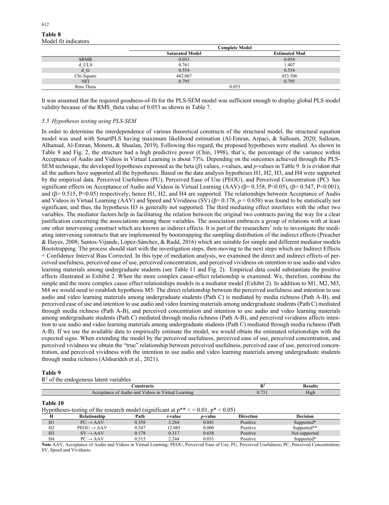# **Table 8**  Model fit indicators

|             | Complete Model         |                      |  |  |  |
|-------------|------------------------|----------------------|--|--|--|
|             | <b>Saturated Model</b> | <b>Estimated Mod</b> |  |  |  |
| <b>SRMR</b> | 0.053                  | 0.054                |  |  |  |
| d ULS       | 0.761                  | 1.407                |  |  |  |
| d G         | 0.554                  | 0.554                |  |  |  |
| Chi-Square  | 442.067                | 453.506              |  |  |  |
| <b>NFI</b>  | 0.795                  | 0.795                |  |  |  |
| Rms Theta   | 0.053                  |                      |  |  |  |

It was assumed that the required goodness-of-fit for the PLS-SEM model was sufficient enough to display global PLS model validity because of the RMS theta value of 0.053 as shown in Table 7.

# *5.5 Hypotheses testing using PLS-SEM*

In order to determine the interdependence of various theoretical constructs of the structural model, the structural equation model was used with SmartPLS having maximum likelihood estimation (Al-Emran, Arpaci, & Salloum, 2020; Salloum, Alhamad, Al-Emran, Monem, & Shaalan, 2019). Following this regard, the proposed hypotheses were studied. As shown in Table 9 and Fig. 2, the structure had a high predictive power (Chin, 1998), that's, the percentage of the variance within Acceptance of Audio and Videos in Virtual Learning is about 73%. Depending on the outcomes achieved through the PLS-SEM technique, the developed hypotheses expressed as the beta (*β*) values, *t*-values, and *p*-values in Table 9. It is evident that all the authors have supported all the hypotheses. Based on the data analysis hypotheses H1, H2, H3, and H4 were supported by the empirical data. Perceived Usefulness (PU), Perceived Ease of Use (PEOU), and Perceived Concentration (PC) has significant effects on Acceptance of Audio and Videos in Virtual Learning (AAV) ( $\beta$ = 0.358, P<0.05), ( $\beta$ = 0.547, P<0.001), and  $(\beta = 0.515, P < 0.05)$  respectively; hence H1, H2, and H4 are supported. The relationships between Acceptance of Audio and Videos in Virtual Learning (AAV) and Speed and Vividness (SV) ( $\beta$ = 0.178,  $p$  = 0.658) was found to be statistically not significant, and thus, the hypothesis H3 is generally not supported. The third mediating effect interferes with the other two variables. The mediator factors help in facilitating the relation between the original two contracts paving the way for a clear justification concerning the associations among these variables. The association embraces a group of relations with at least one other intervening construct which are known as indirect effects. It is part of the researchers' role to investigate the mediating intervening constructs that are implemented by bootstrapping the sampling distribution of the indirect effects (Preacher & Hayes, 2008; Santos-Vijande, López-Sánchez, & Rudd, 2016) which are suitable for simple and different mediator models Bootstrapping. The process should start with the investigation steps, then moving to the next steps which are Indirect Effects + Confidence Interval Bias Corrected. In this type of mediation analysis, we examined the direct and indirect effects of perceived usefulness, perceived ease of use, perceived concentration, and perceived vividness on intention to use audio and video learning materials among undergraduate students (see Table 11 and Fig. 2). Empirical data could substantiate the positive effects illustrated in Exhibit 2. When the more complex cause-effect relationship is examined. We, therefore, combine the simple and the more complex cause effect relationships models in a mediator model (Exhibit 2). In addition to M1, M2, M3, M4 we would need to establish hypothesis M5: The direct relationship between the perceived usefulness and intention to use audio and video learning materials among undergraduate students (Path C) is mediated by media richness (Path A-B), and perceived ease of use and intention to use audio and video learning materials among undergraduate students (Path C) mediated through media richness (Path A-B), and perceived concentration and intention to use audio and video learning materials among undergraduate students (Path C) mediated through media richness (Path A-B), and perceived vividness affects intention to use audio and video learning materials among undergraduate students (Path C) mediated through media richness (Path A-B). If we use the available data to empirically estimate the model, we would obtain the estimated relationships with the expected signs. When extending the model by the perceived usefulness, perceived ease of use, perceived concentration, and perceived vividness we obtain the "true" relationship between perceived usefulness, perceived ease of use, perceived concentration, and perceived vividness with the intention to use audio and video learning materials among undergraduate students through media richness (Alshurideh et al., 2021).

# **Table 9**

|  |  | $R2$ of the endogenous latent variables |  |  |
|--|--|-----------------------------------------|--|--|
|--|--|-----------------------------------------|--|--|

| onstructs<br>.                                                                                  |                | "SUIL»<br>-----         |
|-------------------------------------------------------------------------------------------------|----------------|-------------------------|
| The State<br>1n<br>'ırtual<br>earning<br>$A$ udio<br>and<br>∵entan…<br>V ideos<br>.<br>-------- | $\mathbf{U}$ . | $-1$<br>$\mathsf{H1gh}$ |

# **Table 10**

Hypotheses-testing of the research model (significant at  $p^{**} < 0.01$ ,  $p^* < 0.05$ )

|                | Relationshin            | Path  | <i>t</i> -value | <i>p</i> -value | <b>Direction</b> | <b>Decision</b> |
|----------------|-------------------------|-------|-----------------|-----------------|------------------|-----------------|
| H1             | $P U \rightarrow A A V$ | 0.358 | 3.284           | 0.041           | Positive         | Supported*      |
| H <sub>2</sub> | $PEOU \rightarrow AAV$  | 0.547 | 12.085          | 0.000           | Positive         | Supported**     |
| H <sub>3</sub> | $SV \rightarrow AAV$    | 0.178 | 0.317           | 0.658           | Positive         | Not supported   |
| H4             | $PC \rightarrow AAV$    | 0.515 | 2.244           | 0.031           | Positive         | Supported*      |

**Note** AAV, Acceptance of Audio and Videos in Virtual Learning; PEOU, Perceived Ease of Use; PU, Perceived Usefulness; PC, Perceived Concentration; SV. Speed and Vividness.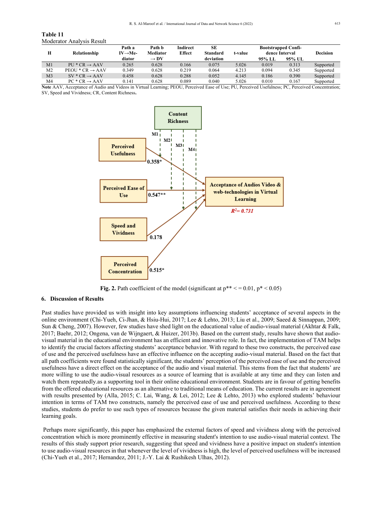| Table 11                  |  |
|---------------------------|--|
| Moderator Analysis Result |  |

| Н              | Relationship                | Path a<br>$IV \rightarrow Me$ - | Path b<br><b>Mediator</b> | Indirect<br><b>Effect</b> | SE<br><b>Standard</b> | t-value | <b>Bootstrapped Confi-</b><br>dence Interval |        | <b>Decision</b> |
|----------------|-----------------------------|---------------------------------|---------------------------|---------------------------|-----------------------|---------|----------------------------------------------|--------|-----------------|
|                |                             | diator                          | $\rightarrow$ DV          |                           | deviation             |         | 95% LL                                       | 95% UL |                 |
| M1             | $PU * CR \rightarrow AAV$   | 0.265                           | 0.628                     | 0.166                     | 0.075                 | 5.026   | 0.019                                        | 0.313  | Supported       |
| M <sub>2</sub> | $PEOU * CR \rightarrow AAV$ | 0.349                           | 0.628                     | 0.219                     | 0.064                 | 4.213   | 0.094                                        | 0.345  | Supported       |
| M <sub>3</sub> | $SV * CR \rightarrow AAV$   | 0.458                           | 0.628                     | 0.288                     | 0.052                 | 4.145   | 0.186                                        | 0.390  | Supported       |
| M4             | $PC * CR \rightarrow AAV$   | 0.141                           | 0.628                     | 0.089                     | 0.040                 | 5.026   | 0.010                                        | 0.167  | Supported       |

**Note** AAV, Acceptance of Audio and Videos in Virtual Learning; PEOU, Perceived Ease of Use; PU, Perceived Usefulness; PC, Perceived Concentration; SV, Speed and Vividness; CR, Content Richness**.**



**Fig. 2.** Path coefficient of the model (significant at  $p^{**} < 0.01$ ,  $p^* < 0.05$ )

## **6. Discussion of Results**

Past studies have provided us with insight into key assumptions influencing students' acceptance of several aspects in the online environment (Chi-Yueh, Ci-Jhan, & Hsiu-Hui, 2017; Lee & Lehto, 2013; Liu et al., 2009; Saeed & Sinnappan, 2009; Sun & Cheng, 2007). However, few studies have shed light on the educational value of audio-visual material (Akhtar & Falk, 2017; Baehr, 2012; Ongena, van de Wijngaert, & Huizer, 2013b). Based on the current study, results have shown that audiovisual material in the educational environment has an efficient and innovative role. In fact, the implementation of TAM helps to identify the crucial factors affecting students' acceptance behavior. With regard to these two constructs, the perceived ease of use and the perceived usefulness have an effective influence on the accepting audio-visual material. Based on the fact that all path coefficients were found statistically significant, the students' perception of the perceived ease of use and the perceived usefulness have a direct effect on the acceptance of the audio and visual material. This stems from the fact that students' are more willing to use the audio-visual resources as a source of learning that is available at any time and they can listen and watch them repeatedly.as a supporting tool in their online educational environment. Students are in favour of getting benefits from the offered educational resources as an alternative to traditional means of education. The current results are in agreement with results presented by (Alla, 2015; C. Lai, Wang, & Lei, 2012; Lee & Lehto, 2013) who explored students' behaviour intention in terms of TAM two constructs, namely the perceived ease of use and perceived usefulness. According to these studies, students do prefer to use such types of resources because the given material satisfies their needs in achieving their learning goals.

 Perhaps more significantly, this paper has emphasized the external factors of speed and vividness along with the perceived concentration which is more prominently effective in measuring student's intention to use audio-visual material context. The results of this study support prior research, suggesting that speed and vividness have a positive impact on student's intention to use audio-visual resources in that whenever the level of vividness is high, the level of perceived usefulness will be increased (Chi-Yueh et al., 2017; Hernandez, 2011; J.-Y. Lai & Rushikesh Ulhas, 2012).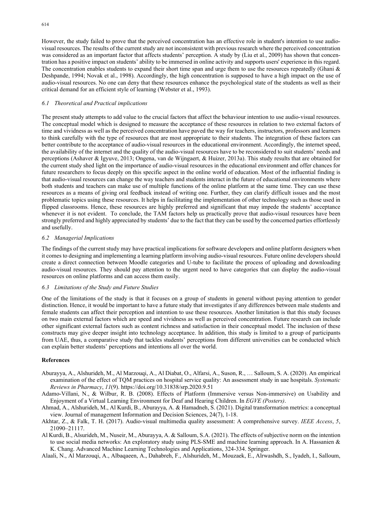However, the study failed to prove that the perceived concentration has an effective role in student's intention to use audiovisual resources. The results of the current study are not inconsistent with previous research where the perceived concentration was considered as an important factor that affects students' perception. A study by (Liu et al., 2009) has shown that concentration has a positive impact on students' ability to be immersed in online activity and supports users' experience in this regard. The concentration enables students to expand their short time span and urge them to use the resources repeatedly (Ghani  $\&$ Deshpande, 1994; Novak et al., 1998). Accordingly, the high concentration is supposed to have a high impact on the use of audio-visual resources. No one can deny that these resources enhance the psychological state of the students as well as their critical demand for an efficient style of learning (Webster et al., 1993).

# *6.1 Theoretical and Practical implications*

The present study attempts to add value to the crucial factors that affect the behaviour intention to use audio-visual resources. The conceptual model which is designed to measure the acceptance of these resources in relation to two external factors of time and vividness as well as the perceived concentration have paved the way for teachers, instructors, professors and learners to think carefully with the type of resources that are most appropriate to their students. The integration of these factors can better contribute to the acceptance of audio-visual resources in the educational environment. Accordingly, the internet speed, the availability of the internet and the quality of the audio-visual resources have to be reconsidered to suit students' needs and perceptions (Ashaver & Igyuve, 2013; Ongena, van de Wijngaert, & Huizer, 2013a). This study results that are obtained for the current study shed light on the importance of audio-visual resources in the educational environment and offer chances for future researchers to focus deeply on this specific aspect in the online world of education. Most of the influential finding is that audio-visual resources can change the way teachers and students interact in the future of educational environments where both students and teachers can make use of multiple functions of the online platform at the same time. They can use these resources as a means of giving oral feedback instead of writing one. Further, they can clarify difficult issues and the most problematic topics using these resources. It helps in facilitating the implementation of other technology such as those used in flipped classrooms. Hence, these resources are highly preferred and significant that may impede the students' acceptance whenever it is not evident. To conclude, the TAM factors help us practically prove that audio-visual resources have been strongly preferred and highly appreciated by students' due to the fact that they can be used by the concerned parties effortlessly and usefully.

# *6.2 Managerial Implications*

The findings of the current study may have practical implications for software developers and online platform designers when it comes to designing and implementing a learning platform involving audio-visual resources. Future online developers should create a direct connection between Moodle categories and U-tube to facilitate the process of uploading and downloading audio-visual resources. They should pay attention to the urgent need to have categories that can display the audio-visual resources on online platforms and can access them easily.

#### *6.3 Limitations of the Study and Future Studies*

One of the limitations of the study is that it focuses on a group of students in general without paying attention to gender distinction. Hence, it would be important to have a future study that investigates if any differences between male students and female students can affect their perception and intention to use these resources. Another limitation is that this study focuses on two main external factors which are speed and vividness as well as perceived concentration. Future research can include other significant external factors such as content richness and satisfaction in their conceptual model. The inclusion of these constructs may give deeper insight into technology acceptance. In addition, this study is limited to a group of participants from UAE, thus, a comparative study that tackles students' perceptions from different universities can be conducted which can explain better students' perceptions and intentions all over the world.

#### **References**

- Aburayya, A., Alshurideh, M., Al Marzouqi, A., Al Diabat, O., Alfarsi, A., Suson, R., … Salloum, S. A. (2020). An empirical examination of the effect of TQM practices on hospital service quality: An assessment study in uae hospitals. *Systematic Reviews in Pharmacy*, *11*(9). https://doi.org/10.31838/srp.2020.9.51
- Adamo-Villani, N., & Wilbur, R. B. (2008). Effects of Platform (Immersive versus Non-immersive) on Usability and Enjoyment of a Virtual Learning Environment for Deaf and Hearing Children. In *EGVE (Posters)*.
- Ahmad, A., Alshurideh, M., Al Kurdi, B., Aburayya, A. & Hamadneh, S. (2021). Digital transformation metrics: a conceptual view. Journal of management Information and Decision Sciences, 24(7), 1-18.
- Akhtar, Z., & Falk, T. H. (2017). Audio-visual multimedia quality assessment: A comprehensive survey. *IEEE Access*, *5*, 21090–21117.
- Al Kurdi, B., Alsurideh, M., Nuseir, M., Aburayya, A. & Salloum, S.A. (2021). The effects of subjective norm on the intention to use social media networks: An exploratory study using PLS-SME and machine learning approach. In A. Hassanien & K. Chang. Advanced Machine Learning Technologies and Applications, 324-334. Springer.

Alaali, N., Al Marzouqi, A., Albaqaeen, A., Dahabreh, F., Alshurideh, M., Mouzaek, E., Alrwashdh, S., Iyadeh, I., Salloum,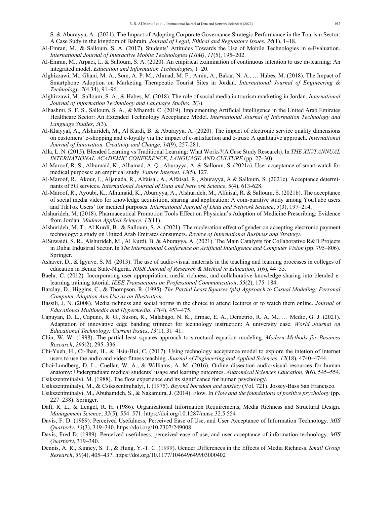S. & Aburayya, A. (2021). The Impact of Adopting Corporate Governance Strategic Performance in the Tourism Sector: A Case Sudy in the kingdom of Bahrain. *Journal of Legal, Ethical and Regulatory Issues*, *24*(1), 1–18.

- Al-Emran, M., & Salloum, S. A. (2017). Students' Attitudes Towards the Use of Mobile Technologies in e-Evaluation. *International Journal of Interactive Mobile Technologies (IJIM)*, *11*(5), 195–202.
- Al-Emran, M., Arpaci, I., & Salloum, S. A. (2020). An empirical examination of continuous intention to use m-learning: An integrated model. *Education and Information Technologies*, 1–20.
- Alghizzawi, M., Ghani, M. A., Som, A. P. M., Ahmad, M. F., Amin, A., Bakar, N. A., … Habes, M. (2018). The Impact of Smartphone Adoption on Marketing Therapeutic Tourist Sites in Jordan. *International Journal of Engineering & Technology*, *7*(4.34), 91–96.
- Alghizzawi, M., Salloum, S. A., & Habes, M. (2018). The role of social media in tourism marketing in Jordan. *International Journal of Information Technology and Language Studies*, *2*(3).
- Alhashmi, S. F. S., Salloum, S. A., & Mhamdi, C. (2019). Implementing Artificial Intelligence in the United Arab Emirates Healthcare Sector: An Extended Technology Acceptance Model. *International Journal of Information Technology and Language Studies*, *3*(3).
- Al-Khayyal, A., Alshurideh, M., Al Kurdi, B. & Aburayya, A. (2020). The impact of electronic service quality dimensions on customers' e-shopping and e-loyalty via the impact of e-satisfaction and e-trust: A qualitative approach. *International Journal of Innovation, Creativity and Change*, *14*(9), 257-281.
- Alla, L. N. (2015). Blended Learning vs Traditional Learning: What Works?(A Case Study Research). In *THE XXVI ANNUAL INTERNATIONAL ACADEMIC CONFERENCE, LANGUAGE AND CULTURE* (pp. 27–30).
- Al-Maroof, R. S., Alhumaid, K., Alhamad, A. Q., Aburayya, A. & Salloum, S. (2021a). User acceptance of smart watch for medical purposes: an empirical study. *Future Internet*, *13*(5), 127.
- Al-Maroof, R., Akour, I., Aljanada, R., Alfaisal, A., Alfaisal, R., Aburayya, A & Salloum, S. (2021c). Acceptance determinants of 5G services. *International Journal of Data and Network Science*, 5(4), 613-628.
- Al-Maroof, R., Ayoubi, K., Alhumaid, K., Aburayya, A., Alshurideh, M., Alfaisal, R. & Salloum, S. (2021b). The acceptance of social media video for knowledge acquisition, sharing and application: A com-parative study among YouTube users and TikTok Users' for medical purposes. *International Journal of Data and Network Science*, *5*(3), 197–214.
- Alshurideh, M. (2018). Pharmaceutical Promotion Tools Effect on Physician's Adoption of Medicine Prescribing: Evidence from Jordan. *Modern Applied Science*, *12*(11).
- Alshurideh, M. T., Al Kurdi, B., & Salloum, S. A. (2021). The moderation effect of gender on accepting electronic payment technology: a study on United Arab Emirates consumers. *Review of International Business and Strategy*.
- AlSuwaidi, S. R., Alshurideh, M., Al Kurdi, B. & Aburayya, A. (2021). The Main Catalysts for Collaborative R&D Projects in Dubai Industrial Sector. In *The International Conference on Artificial Intelligence and Computer Vision* (pp. 795–806). Springer.
- Ashaver, D., & Igyuve, S. M. (2013). The use of audio-visual materials in the teaching and learning processes in colleges of education in Benue State-Nigeria. *IOSR Journal of Research & Method in Education*, *1*(6), 44–55.
- Baehr, C. (2012). Incorporating user appropriation, media richness, and collaborative knowledge sharing into blended elearning training tutorial. *IEEE Transactions on Professional Communication*, *55*(2), 175–184.
- Barclay, D., Higgins, C., & Thompson, R. (1995). *The Partial Least Squares (pls) Approach to Casual Modeling: Personal Computer Adoption Ans Use as an Illustration*.
- Bassili, J. N. (2008). Media richness and social norms in the choice to attend lectures or to watch them online. *Journal of Educational Multimedia and Hypermedia*, *17*(4), 453–475.
- Capuyan, D. L., Capuno, R. G., Suson, R., Malabago, N. K., Ermac, E. A., Demetrio, R. A. M., … Medio, G. J. (2021). Adaptation of innovative edge banding trimmer for technology instruction: A university case. *World Journal on Educational Technology: Current Issues*, *13*(1), 31–41.
- Chin, W. W. (1998). The partial least squares approach to structural equation modeling. *Modern Methods for Business Research*, *295*(2), 295–336.
- Chi-Yueh, H., Ci-Jhan, H., & Hsiu-Hui, C. (2017). Using technology acceptance model to explore the intetion of internet users to use the audio and video fitness teaching. *Journal of Engineering and Applied Sciences*, *12*(18), 4740–4744.
- Choi‐Lundberg, D. L., Cuellar, W. A., & Williams, A. M. (2016). Online dissection audio‐visual resources for human anatomy: Undergraduate medical students' usage and learning outcomes. *Anatomical Sciences Education*, *9*(6), 545–554. Csikszentmihalyi, M. (1988). The flow experience and its significance for human psychology.
- Csikszentmihalyi, M., & Csikszentmihalyi, I. (1975). *Beyond boredom and anxiety* (Vol. 721). Jossey-Bass San Francisco.
- Csikszentmihalyi, M., Abuhamdeh, S., & Nakamura, J. (2014). Flow. In *Flow and the foundations of positive psychology* (pp. 227–238). Springer.
- Daft, R. L., & Lengel, R. H. (1986). Organizational Information Requirements, Media Richness and Structural Design. *Management Science*, *32*(5), 554–571. https://doi.org/10.1287/mnsc.32.5.554
- Davis, F. D. (1989). Perceived Usefulness, Perceived Ease of Use, and User Acceptance of Information Technology. *MIS Quarterly*, *13*(3), 319–340. https://doi.org/10.2307/249008
- Davis, Fred D. (1989). Perceived usefulness, perceived ease of use, and user acceptance of information technology. *MIS Quarterly*, 319–340.
- Dennis, A. R., Kinney, S. T., & Hung, Y.-T. C. (1999). Gender Differences in the Effects of Media Richness. *Small Group Research*, *30*(4), 405–437. https://doi.org/10.1177/104649649903000402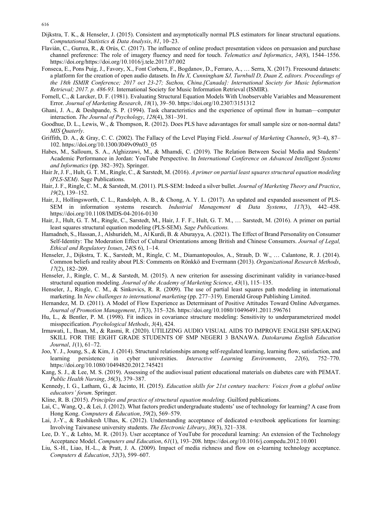- Dijkstra, T. K., & Henseler, J. (2015). Consistent and asymptotically normal PLS estimators for linear structural equations. *Computational Statistics & Data Analysis*, *81*, 10–23.
- Flavián, C., Gurrea, R., & Orús, C. (2017). The influence of online product presentation videos on persuasion and purchase channel preference: The role of imagery fluency and need for touch. *Telematics and Informatics*, *34*(8), 1544–1556. https://doi.org/https://doi.org/10.1016/j.tele.2017.07.002
- Fonseca, E., Pons Puig, J., Favory, X., Font Corbera, F., Bogdanov, D., Ferraro, A., … Serra, X. (2017). Freesound datasets: a platform for the creation of open audio datasets. In *Hu X, Cunningham SJ, Turnbull D, Duan Z, editors. Proceedings of the 18th ISMIR Conference; 2017 oct 23-27; Suzhou, China.[Canada]: International Society for Music Information Retrieval; 2017. p. 486-93.* International Society for Music Information Retrieval (ISMIR).
- Fornell, C., & Larcker, D. F. (1981). Evaluating Structural Equation Models With Unobservable Variables and Measurement Error. *Journal of Marketing Research*, *18*(1), 39–50. https://doi.org/10.2307/3151312
- Ghani, J. A., & Deshpande, S. P. (1994). Task characteristics and the experience of optimal flow in human—computer interaction. *The Journal of Psychology*, *128*(4), 381–391.
- Goodhue, D. L., Lewis, W., & Thompson, R. (2012). Does PLS have adavantages for small sample size or non-normal data? *MIS Quaterly*.
- Griffith, D. A., & Gray, C. C. (2002). The Fallacy of the Level Playing Field. *Journal of Marketing Channels*, *9*(3–4), 87– 102. https://doi.org/10.1300/J049v09n03\_05
- Habes, M., Salloum, S. A., Alghizzawi, M., & Mhamdi, C. (2019). The Relation Between Social Media and Students' Academic Performance in Jordan: YouTube Perspective. In *International Conference on Advanced Intelligent Systems and Informatics* (pp. 382–392). Springer.
- Hair Jr, J. F., Hult, G. T. M., Ringle, C., & Sarstedt, M. (2016). *A primer on partial least squares structural equation modeling (PLS-SEM)*. Sage Publications.
- Hair, J. F., Ringle, C. M., & Sarstedt, M. (2011). PLS-SEM: Indeed a silver bullet. *Journal of Marketing Theory and Practice*, *19*(2), 139–152.
- Hair, J., Hollingsworth, C. L., Randolph, A. B., & Chong, A. Y. L. (2017). An updated and expanded assessment of PLS-SEM in information systems research. *Industrial Management & Data Systems*, *117*(3), 442–458. https://doi.org/10.1108/IMDS-04-2016-0130
- Hair, J., Hult, G. T. M., Ringle, C., Sarstedt, M., Hair, J. F. F., Hult, G. T. M., … Sarstedt, M. (2016). A primer on partial least squares structural equation modeling (PLS-SEM). *Sage Publications.*
- Hamadneh, S., Hassan, J., Alshurideh, M., Al Kurdi, B. & Aburayya, A. (2021). The Effect of Brand Personality on Consumer Self-Identity: The Moderation Effect of Cultural Orientations among British and Chinese Consumers. *Journal of Legal, Ethical and Regulatory Issues*, *24*(S 6), 1–14.
- Henseler, J., Dijkstra, T. K., Sarstedt, M., Ringle, C. M., Diamantopoulos, A., Straub, D. W., … Calantone, R. J. (2014). Common beliefs and reality about PLS: Comments on Rönkkö and Evermann (2013). *Organizational Research Methods*, *17*(2), 182–209.
- Henseler, J., Ringle, C. M., & Sarstedt, M. (2015). A new criterion for assessing discriminant validity in variance-based structural equation modeling. *Journal of the Academy of Marketing Science*, *43*(1), 115–135.
- Henseler, J., Ringle, C. M., & Sinkovics, R. R. (2009). The use of partial least squares path modeling in international marketing. In *New challenges to international marketing* (pp. 277–319). Emerald Group Publishing Limited.
- Hernandez, M. D. (2011). A Model of Flow Experience as Determinant of Positive Attitudes Toward Online Advergames. *Journal of Promotion Management*, *17*(3), 315–326. https://doi.org/10.1080/10496491.2011.596761
- Hu, L., & Bentler, P. M. (1998). Fit indices in covariance structure modeling: Sensitivity to underparameterized model misspecification. *Psychological Methods*, *3*(4), 424.
- Irmawati, I., Ihsan, M., & Rasmi, R. (2020). UTILIZING AUDIO VISUAL AIDS TO IMPROVE ENGLISH SPEAKING SKILL FOR THE EIGHT GRADE STUDENTS OF SMP NEGERI 3 BANAWA. *Datokarama English Education Journal*, *1*(1), 61–72.
- Joo, Y. J., Joung, S., & Kim, J. (2014). Structural relationships among self-regulated learning, learning flow, satisfaction, and learning persistence in cyber universities. *Interactive Learning Environments*, *22*(6), 752–770. https://doi.org/10.1080/10494820.2012.745421
- Kang, S. J., & Lee, M. S. (2019). Assessing of the audiovisual patient educational materials on diabetes care with PEMAT. *Public Health Nursing*, *36*(3), 379–387.
- Kennedy, I. G., Latham, G., & Jacinto, H. (2015). *Education skills for 21st century teachers: Voices from a global online educators' forum*. Springer.
- Kline, R. B. (2015). *Principles and practice of structural equation modeling*. Guilford publications.
- Lai, C., Wang, Q., & Lei, J. (2012). What factors predict undergraduate students' use of technology for learning? A case from Hong Kong. *Computers & Education*, *59*(2), 569–579.
- Lai, J.-Y., & Rushikesh Ulhas, K. (2012). Understanding acceptance of dedicated e-textbook applications for learning: Involving Taiwanese university students. *The Electronic Library*, *30*(3), 321–338.
- Lee, D. Y., & Lehto, M. R. (2013). User acceptance of YouTube for procedural learning: An extension of the Technology Acceptance Model. *Computers and Education*, *61*(1), 193–208. https://doi.org/10.1016/j.compedu.2012.10.001
- Liu, S.-H., Liao, H.-L., & Pratt, J. A. (2009). Impact of media richness and flow on e-learning technology acceptance. *Computers & Education*, *52*(3), 599–607.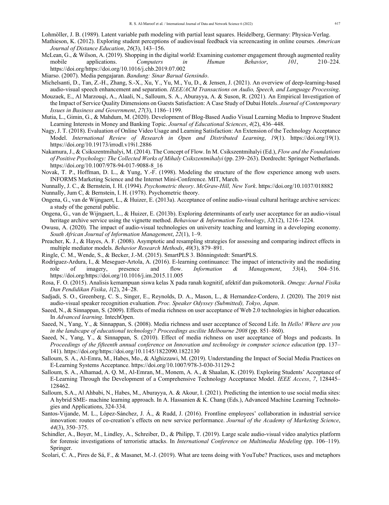Lohmöller, J. B. (1989). Latent variable path modeling with partial least squares. Heidelberg, Germany: Physica-Verlag.

- Mathieson, K. (2012). Exploring student perceptions of audiovisual feedback via screencasting in online courses. *American Journal of Distance Education*, *26*(3), 143–156.
- McLean, G., & Wilson, A. (2019). Shopping in the digital world: Examining customer engagement through augmented reality mobile applications. *Computers in Human Behavior*, *101*, 210–224. https://doi.org/https://doi.org/10.1016/j.chb.2019.07.002
- Miarso. (2007). Media pengajaran. *Bandung: Sinar Barual Gensindo*.
- Michelsanti, D., Tan, Z.-H., Zhang, S.-X., Xu, Y., Yu, M., Yu, D., & Jensen, J. (2021). An overview of deep-learning-based audio-visual speech enhancement and separation. *IEEE/ACM Transactions on Audio, Speech, and Language Processing*.
- Mouzaek, E., Al Marzouqi, A., Alaali, N., Salloum, S. A., Aburayya, A. & Suson, R. (2021). An Empirical Investigation of the Impact of Service Quality Dimensions on Guests Satisfaction: A Case Study of Dubai Hotels. *Journal of Contemporary Issues in Business and Government*, *27*(3), 1186–1199.
- Mutia, L., Gimin, G., & Mahdum, M. (2020). Development of Blog-Based Audio Visual Learning Media to Improve Student Learning Interests in Money and Banking Topic. *Journal of Educational Sciences*, *4*(2), 436–448.
- Nagy, J. T. (2018). Evaluation of Online Video Usage and Learning Satisfaction: An Extension of the Technology Acceptance Model. *International Review of Research in Open and Distributed Learning*, *19*(1). https://doi.org/19(1). https://doi.org/10.19173/irrodl.v19i1.2886
- Nakamura, J., & Csikszentmihalyi, M. (2014). The Concept of Flow. In M. Csikszentmihalyi (Ed.), *Flow and the Foundations of Positive Psychology: The Collected Works of Mihaly Csikszentmihalyi* (pp. 239–263). Dordrecht: Springer Netherlands. https://doi.org/10.1007/978-94-017-9088-8\_16
- Novak, T. P., Hoffman, D. L., & Yung, Y.-F. (1998). Modeling the structure of the flow experience among web users. INFORMS Marketing Science and the Internet Mini-Conference. MIT, March.
- Nunnally, J. C., & Bernstein, I. H. (1994). *Psychometric theory*. *McGraw-Hill, New York*. https://doi.org/10.1037/018882
- Nunnally, Jum C, & Bernstein, I. H. (1978). Psychometric theory.
- Ongena, G., van de Wijngaert, L., & Huizer, E. (2013a). Acceptance of online audio-visual cultural heritage archive services: a study of the general public.
- Ongena, G., van de Wijngaert, L., & Huizer, E. (2013b). Exploring determinants of early user acceptance for an audio-visual heritage archive service using the vignette method. *Behaviour & Information Technology*, *32*(12), 1216–1224.
- Owusu, A. (2020). The impact of audio-visual technologies on university teaching and learning in a developing economy. *South African Journal of Information Management*, *22*(1), 1–9.
- Preacher, K. J., & Hayes, A. F. (2008). Asymptotic and resampling strategies for assessing and comparing indirect effects in multiple mediator models. *Behavior Research Methods*, *40*(3), 879–891.
- Ringle, C. M., Wende, S., & Becker, J.-M. (2015). SmartPLS 3. Bönningstedt: SmartPLS.
- Rodríguez-Ardura, I., & Meseguer-Artola, A. (2016). E-learning continuance: The impact of interactivity and the mediating role of imagery, presence and flow. *Information & Management*, *53*(4), 504–516. https://doi.org/https://doi.org/10.1016/j.im.2015.11.005
- Rosa, F. O. (2015). Analisis kemampuan siswa kelas X pada ranah kognitif, afektif dan psikomotorik. *Omega: Jurnal Fisika Dan Pendidikan Fisika*, *1*(2), 24–28.
- Sadjadi, S. O., Greenberg, C. S., Singer, E., Reynolds, D. A., Mason, L., & Hernandez-Cordero, J. (2020). The 2019 nist audio-visual speaker recognition evaluation. *Proc. Speaker Odyssey (Submitted), Tokyo, Japan*.
- Saeed, N., & Sinnappan, S. (2009). Effects of media richness on user acceptance of Web 2.0 technologies in higher education. In *Advanced learning*. IntechOpen.
- Saeed, N., Yang, Y., & Sinnappan, S. (2008). Media richness and user acceptance of Second Life. In *Hello! Where are you in the landscape of educational technology? Proceedings ascilite Melbourne 2008* (pp. 851–860).
- Saeed, N., Yang, Y., & Sinnappan, S. (2010). Effect of media richness on user acceptance of blogs and podcasts. In *Proceedings of the fifteenth annual conference on Innovation and technology in computer science education* (pp. 137– 141). https://doi.org/https://doi.org/10.1145/1822090.1822130
- Salloum, S. A., Al-Emra, M., Habes, Mo., & Alghizzawi, M. (2019). Understanding the Impact of Social Media Practices on E-Learning Systems Acceptance. https://doi.org/10.1007/978-3-030-31129-2
- Salloum, S. A., Alhamad, A. Q. M., Al-Emran, M., Monem, A. A., & Shaalan, K. (2019). Exploring Students' Acceptance of E-Learning Through the Development of a Comprehensive Technology Acceptance Model. *IEEE Access*, *7*, 128445– 128462.
- Salloum, S.A., Al Ahbabi, N., Habes, M., Aburayya, A. & Akour, I. (2021). Predicting the intention to use social media sites: A hybrid SME- machine learning approach. In A. Hassanien & K. Chang (Eds.), Advanced Machine Learning Technologies and Applications, 324-334.
- Santos-Vijande, M. L., López-Sánchez, J. Á., & Rudd, J. (2016). Frontline employees' collaboration in industrial service innovation: routes of co-creation's effects on new service performance. *Journal of the Academy of Marketing Science*, *44*(3), 350–375.
- Schindler, A., Boyer, M., Lindley, A., Schreiber, D., & Philipp, T. (2019). Large scale audio-visual video analytics platform for forensic investigations of terroristic attacks. In *International Conference on Multimedia Modeling* (pp. 106–119). Springer.
- Scolari, C. A., Pires de Sá, F., & Masanet, M.-J. (2019). What are teens doing with YouTube? Practices, uses and metaphors